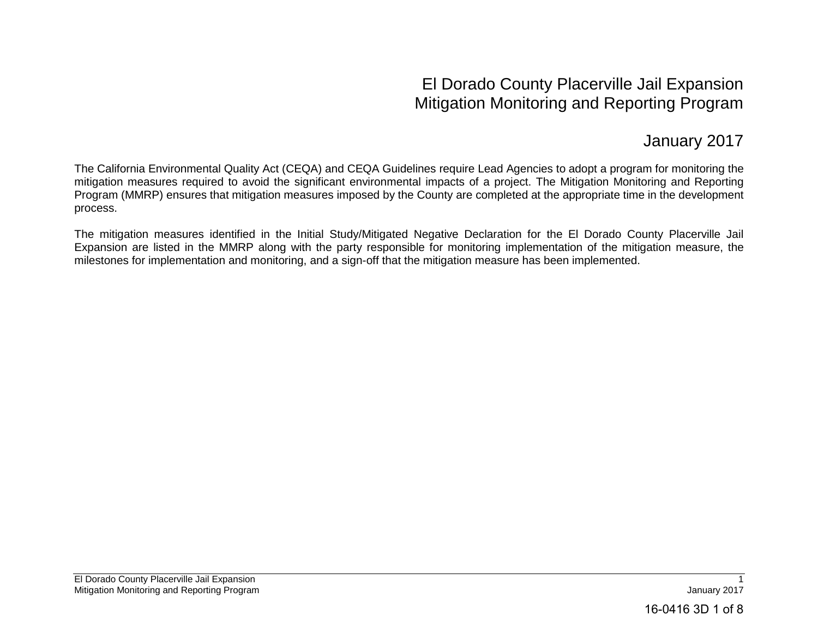## El Dorado County Placerville Jail Expansion Mitigation Monitoring and Reporting Program

## January 2017

The California Environmental Quality Act (CEQA) and CEQA Guidelines require Lead Agencies to adopt a program for monitoring the mitigation measures required to avoid the significant environmental impacts of a project. The Mitigation Monitoring and Reporting Program (MMRP) ensures that mitigation measures imposed by the County are completed at the appropriate time in the development process.

The mitigation measures identified in the Initial Study/Mitigated Negative Declaration for the El Dorado County Placerville Jail Expansion are listed in the MMRP along with the party responsible for monitoring implementation of the mitigation measure, the milestones for implementation and monitoring, and a sign-off that the mitigation measure has been implemented.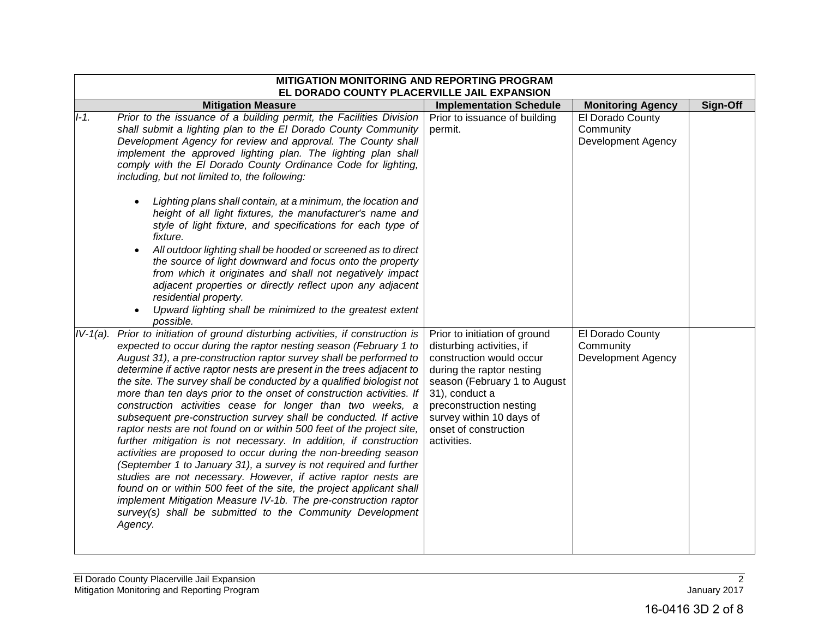|             | MITIGATION MONITORING AND REPORTING PROGRAM<br>EL DORADO COUNTY PLACERVILLE JAIL EXPANSION                                                                                                                                                                                                                                                                                                                                                                                                                                                                                                                                                                                                                                                                                                                                                                                                                                                                                                                                                                                                                                                               |                                                                                                                                                                                                                                                                      |                                                     |          |
|-------------|----------------------------------------------------------------------------------------------------------------------------------------------------------------------------------------------------------------------------------------------------------------------------------------------------------------------------------------------------------------------------------------------------------------------------------------------------------------------------------------------------------------------------------------------------------------------------------------------------------------------------------------------------------------------------------------------------------------------------------------------------------------------------------------------------------------------------------------------------------------------------------------------------------------------------------------------------------------------------------------------------------------------------------------------------------------------------------------------------------------------------------------------------------|----------------------------------------------------------------------------------------------------------------------------------------------------------------------------------------------------------------------------------------------------------------------|-----------------------------------------------------|----------|
|             | <b>Mitigation Measure</b>                                                                                                                                                                                                                                                                                                                                                                                                                                                                                                                                                                                                                                                                                                                                                                                                                                                                                                                                                                                                                                                                                                                                | <b>Implementation Schedule</b>                                                                                                                                                                                                                                       | <b>Monitoring Agency</b>                            | Sign-Off |
| $I-1.$      | Prior to the issuance of a building permit, the Facilities Division<br>shall submit a lighting plan to the El Dorado County Community<br>Development Agency for review and approval. The County shall<br>implement the approved lighting plan. The lighting plan shall<br>comply with the El Dorado County Ordinance Code for lighting,<br>including, but not limited to, the following:                                                                                                                                                                                                                                                                                                                                                                                                                                                                                                                                                                                                                                                                                                                                                                 | Prior to issuance of building<br>permit.                                                                                                                                                                                                                             | El Dorado County<br>Community<br>Development Agency |          |
|             | Lighting plans shall contain, at a minimum, the location and<br>height of all light fixtures, the manufacturer's name and<br>style of light fixture, and specifications for each type of<br>fixture.<br>All outdoor lighting shall be hooded or screened as to direct<br>the source of light downward and focus onto the property<br>from which it originates and shall not negatively impact<br>adjacent properties or directly reflect upon any adjacent<br>residential property.<br>Upward lighting shall be minimized to the greatest extent<br>possible.                                                                                                                                                                                                                                                                                                                                                                                                                                                                                                                                                                                            |                                                                                                                                                                                                                                                                      |                                                     |          |
| $IV-1(a)$ . | Prior to initiation of ground disturbing activities, if construction is<br>expected to occur during the raptor nesting season (February 1 to<br>August 31), a pre-construction raptor survey shall be performed to<br>determine if active raptor nests are present in the trees adjacent to<br>the site. The survey shall be conducted by a qualified biologist not<br>more than ten days prior to the onset of construction activities. If<br>construction activities cease for longer than two weeks, a<br>subsequent pre-construction survey shall be conducted. If active<br>raptor nests are not found on or within 500 feet of the project site,<br>further mitigation is not necessary. In addition, if construction<br>activities are proposed to occur during the non-breeding season<br>(September 1 to January 31), a survey is not required and further<br>studies are not necessary. However, if active raptor nests are<br>found on or within 500 feet of the site, the project applicant shall<br>implement Mitigation Measure IV-1b. The pre-construction raptor<br>survey(s) shall be submitted to the Community Development<br>Agency. | Prior to initiation of ground<br>disturbing activities, if<br>construction would occur<br>during the raptor nesting<br>season (February 1 to August<br>31), conduct a<br>preconstruction nesting<br>survey within 10 days of<br>onset of construction<br>activities. | El Dorado County<br>Community<br>Development Agency |          |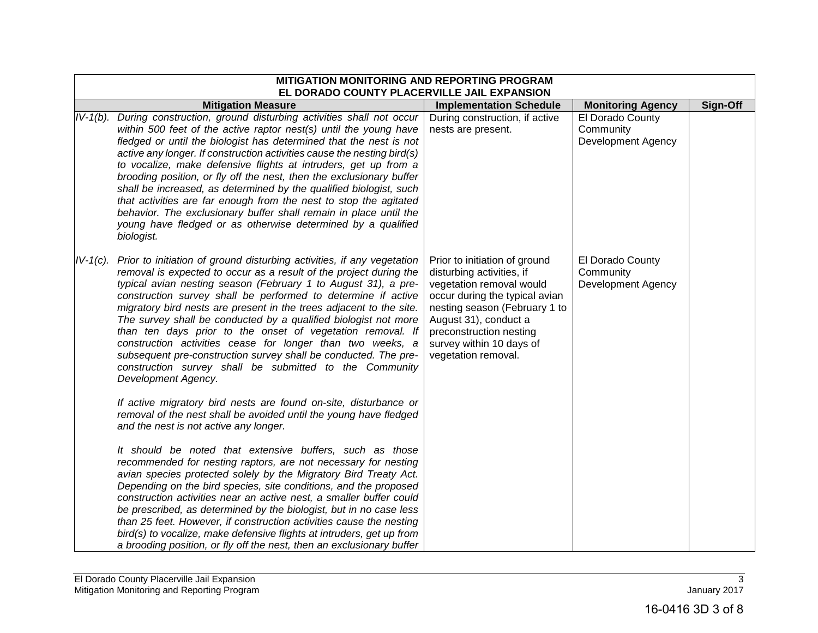|             | MITIGATION MONITORING AND REPORTING PROGRAM<br>EL DORADO COUNTY PLACERVILLE JAIL EXPANSION                                                                                                                                                                                                                                                                                                                                                                                                                                                                                                                                                                                                                                                |                                                                                                                                                                                                                                                                  |                                                            |          |
|-------------|-------------------------------------------------------------------------------------------------------------------------------------------------------------------------------------------------------------------------------------------------------------------------------------------------------------------------------------------------------------------------------------------------------------------------------------------------------------------------------------------------------------------------------------------------------------------------------------------------------------------------------------------------------------------------------------------------------------------------------------------|------------------------------------------------------------------------------------------------------------------------------------------------------------------------------------------------------------------------------------------------------------------|------------------------------------------------------------|----------|
|             | <b>Mitigation Measure</b>                                                                                                                                                                                                                                                                                                                                                                                                                                                                                                                                                                                                                                                                                                                 | <b>Implementation Schedule</b>                                                                                                                                                                                                                                   | <b>Monitoring Agency</b>                                   | Sign-Off |
|             | IV-1(b). During construction, ground disturbing activities shall not occur<br>within 500 feet of the active raptor nest(s) until the young have<br>fledged or until the biologist has determined that the nest is not<br>active any longer. If construction activities cause the nesting bird(s)<br>to vocalize, make defensive flights at intruders, get up from a<br>brooding position, or fly off the nest, then the exclusionary buffer<br>shall be increased, as determined by the qualified biologist, such<br>that activities are far enough from the nest to stop the agitated<br>behavior. The exclusionary buffer shall remain in place until the<br>young have fledged or as otherwise determined by a qualified<br>biologist. | During construction, if active<br>nests are present.                                                                                                                                                                                                             | El Dorado County<br>Community<br><b>Development Agency</b> |          |
| $IV-1(c)$ . | Prior to initiation of ground disturbing activities, if any vegetation<br>removal is expected to occur as a result of the project during the<br>typical avian nesting season (February 1 to August 31), a pre-<br>construction survey shall be performed to determine if active<br>migratory bird nests are present in the trees adjacent to the site.<br>The survey shall be conducted by a qualified biologist not more<br>than ten days prior to the onset of vegetation removal. If<br>construction activities cease for longer than two weeks, a<br>subsequent pre-construction survey shall be conducted. The pre-<br>construction survey shall be submitted to the Community<br>Development Agency.                                | Prior to initiation of ground<br>disturbing activities, if<br>vegetation removal would<br>occur during the typical avian<br>nesting season (February 1 to<br>August 31), conduct a<br>preconstruction nesting<br>survey within 10 days of<br>vegetation removal. | El Dorado County<br>Community<br>Development Agency        |          |
|             | If active migratory bird nests are found on-site, disturbance or<br>removal of the nest shall be avoided until the young have fledged<br>and the nest is not active any longer.<br>It should be noted that extensive buffers, such as those<br>recommended for nesting raptors, are not necessary for nesting<br>avian species protected solely by the Migratory Bird Treaty Act.<br>Depending on the bird species, site conditions, and the proposed<br>construction activities near an active nest, a smaller buffer could                                                                                                                                                                                                              |                                                                                                                                                                                                                                                                  |                                                            |          |
|             | be prescribed, as determined by the biologist, but in no case less<br>than 25 feet. However, if construction activities cause the nesting<br>bird(s) to vocalize, make defensive flights at intruders, get up from<br>a brooding position, or fly off the nest, then an exclusionary buffer                                                                                                                                                                                                                                                                                                                                                                                                                                               |                                                                                                                                                                                                                                                                  |                                                            |          |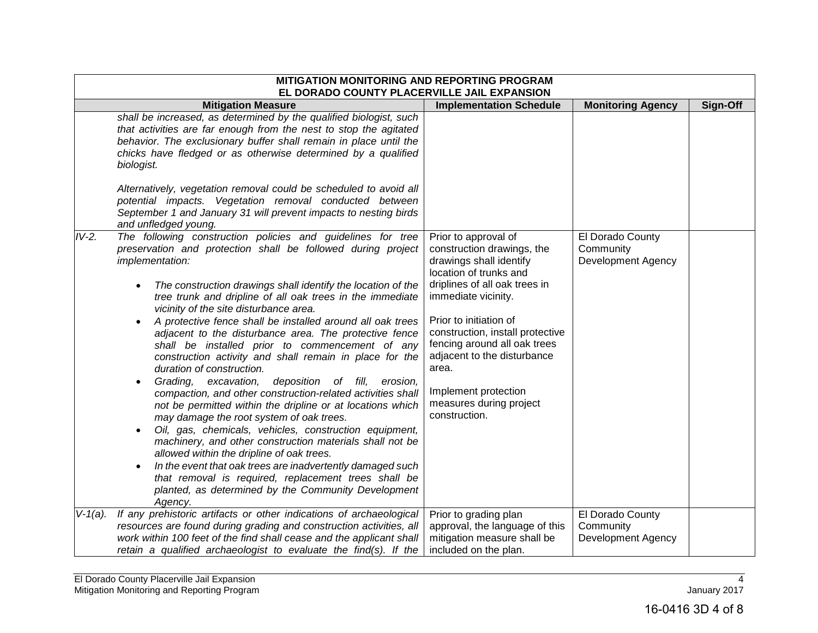|            | <b>MITIGATION MONITORING AND REPORTING PROGRAM</b><br>EL DORADO COUNTY PLACERVILLE JAIL EXPANSION                                                                                                                                                                                                                                                                                                                                                                                                                                                                                                                                                                                                                                                                                                                                                                                                                                                                                                                                                                                                                                                                                                    |                                                                                                                                                                                                                                                                                                                                                                           |                                                            |          |  |
|------------|------------------------------------------------------------------------------------------------------------------------------------------------------------------------------------------------------------------------------------------------------------------------------------------------------------------------------------------------------------------------------------------------------------------------------------------------------------------------------------------------------------------------------------------------------------------------------------------------------------------------------------------------------------------------------------------------------------------------------------------------------------------------------------------------------------------------------------------------------------------------------------------------------------------------------------------------------------------------------------------------------------------------------------------------------------------------------------------------------------------------------------------------------------------------------------------------------|---------------------------------------------------------------------------------------------------------------------------------------------------------------------------------------------------------------------------------------------------------------------------------------------------------------------------------------------------------------------------|------------------------------------------------------------|----------|--|
|            | <b>Mitigation Measure</b>                                                                                                                                                                                                                                                                                                                                                                                                                                                                                                                                                                                                                                                                                                                                                                                                                                                                                                                                                                                                                                                                                                                                                                            | <b>Implementation Schedule</b>                                                                                                                                                                                                                                                                                                                                            | <b>Monitoring Agency</b>                                   | Sign-Off |  |
|            | shall be increased, as determined by the qualified biologist, such<br>that activities are far enough from the nest to stop the agitated<br>behavior. The exclusionary buffer shall remain in place until the<br>chicks have fledged or as otherwise determined by a qualified<br>biologist.                                                                                                                                                                                                                                                                                                                                                                                                                                                                                                                                                                                                                                                                                                                                                                                                                                                                                                          |                                                                                                                                                                                                                                                                                                                                                                           |                                                            |          |  |
|            | Alternatively, vegetation removal could be scheduled to avoid all<br>potential impacts. Vegetation removal conducted between<br>September 1 and January 31 will prevent impacts to nesting birds<br>and unfledged young.                                                                                                                                                                                                                                                                                                                                                                                                                                                                                                                                                                                                                                                                                                                                                                                                                                                                                                                                                                             |                                                                                                                                                                                                                                                                                                                                                                           |                                                            |          |  |
| $IV-2.$    | The following construction policies and guidelines for tree<br>preservation and protection shall be followed during project<br>implementation:<br>The construction drawings shall identify the location of the<br>tree trunk and dripline of all oak trees in the immediate<br>vicinity of the site disturbance area.<br>A protective fence shall be installed around all oak trees<br>adjacent to the disturbance area. The protective fence<br>shall be installed prior to commencement of any<br>construction activity and shall remain in place for the<br>duration of construction.<br>deposition of fill,<br>Grading, excavation,<br>erosion,<br>compaction, and other construction-related activities shall<br>not be permitted within the dripline or at locations which<br>may damage the root system of oak trees.<br>Oil, gas, chemicals, vehicles, construction equipment,<br>machinery, and other construction materials shall not be<br>allowed within the dripline of oak trees.<br>In the event that oak trees are inadvertently damaged such<br>$\bullet$<br>that removal is required, replacement trees shall be<br>planted, as determined by the Community Development<br>Agency. | Prior to approval of<br>construction drawings, the<br>drawings shall identify<br>location of trunks and<br>driplines of all oak trees in<br>immediate vicinity.<br>Prior to initiation of<br>construction, install protective<br>fencing around all oak trees<br>adjacent to the disturbance<br>area.<br>Implement protection<br>measures during project<br>construction. | El Dorado County<br>Community<br><b>Development Agency</b> |          |  |
| $V-1(a)$ . | If any prehistoric artifacts or other indications of archaeological<br>resources are found during grading and construction activities, all<br>work within 100 feet of the find shall cease and the applicant shall<br>retain a qualified archaeologist to evaluate the find(s). If the                                                                                                                                                                                                                                                                                                                                                                                                                                                                                                                                                                                                                                                                                                                                                                                                                                                                                                               | Prior to grading plan<br>approval, the language of this<br>mitigation measure shall be<br>included on the plan.                                                                                                                                                                                                                                                           | El Dorado County<br>Community<br>Development Agency        |          |  |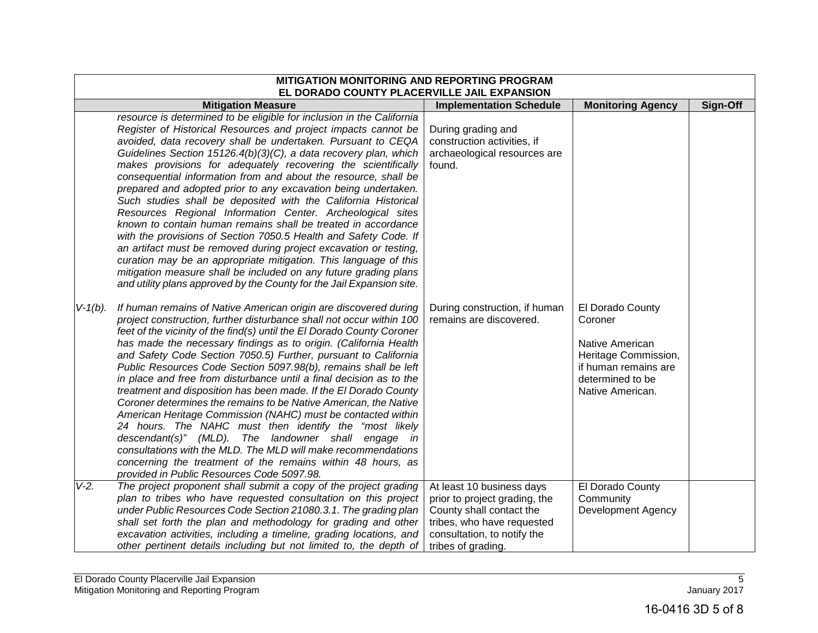|            | MITIGATION MONITORING AND REPORTING PROGRAM<br>EL DORADO COUNTY PLACERVILLE JAIL EXPANSION                                                                                                                                                                                                                                                                                                                                                                                                                                                                                                                                                                                                                                                                                                                                                                                                                                                                                                                                                   |                                                                                                                                                                           |                                                                                                                                        |          |  |
|------------|----------------------------------------------------------------------------------------------------------------------------------------------------------------------------------------------------------------------------------------------------------------------------------------------------------------------------------------------------------------------------------------------------------------------------------------------------------------------------------------------------------------------------------------------------------------------------------------------------------------------------------------------------------------------------------------------------------------------------------------------------------------------------------------------------------------------------------------------------------------------------------------------------------------------------------------------------------------------------------------------------------------------------------------------|---------------------------------------------------------------------------------------------------------------------------------------------------------------------------|----------------------------------------------------------------------------------------------------------------------------------------|----------|--|
|            | <b>Mitigation Measure</b>                                                                                                                                                                                                                                                                                                                                                                                                                                                                                                                                                                                                                                                                                                                                                                                                                                                                                                                                                                                                                    | <b>Implementation Schedule</b>                                                                                                                                            | <b>Monitoring Agency</b>                                                                                                               | Sign-Off |  |
|            | resource is determined to be eligible for inclusion in the California<br>Register of Historical Resources and project impacts cannot be<br>avoided, data recovery shall be undertaken. Pursuant to CEQA<br>Guidelines Section 15126.4(b)(3)(C), a data recovery plan, which<br>makes provisions for adequately recovering the scientifically<br>consequential information from and about the resource, shall be<br>prepared and adopted prior to any excavation being undertaken.<br>Such studies shall be deposited with the California Historical<br>Resources Regional Information Center. Archeological sites<br>known to contain human remains shall be treated in accordance<br>with the provisions of Section 7050.5 Health and Safety Code. If<br>an artifact must be removed during project excavation or testing,<br>curation may be an appropriate mitigation. This language of this<br>mitigation measure shall be included on any future grading plans<br>and utility plans approved by the County for the Jail Expansion site. | During grading and<br>construction activities, if<br>archaeological resources are<br>found.                                                                               |                                                                                                                                        |          |  |
| $V-1(b)$ . | If human remains of Native American origin are discovered during<br>project construction, further disturbance shall not occur within 100<br>feet of the vicinity of the find(s) until the El Dorado County Coroner<br>has made the necessary findings as to origin. (California Health<br>and Safety Code Section 7050.5) Further, pursuant to California<br>Public Resources Code Section 5097.98(b), remains shall be left<br>in place and free from disturbance until a final decision as to the<br>treatment and disposition has been made. If the El Dorado County<br>Coroner determines the remains to be Native American, the Native<br>American Heritage Commission (NAHC) must be contacted within<br>24 hours. The NAHC must then identify the "most likely<br>descendant(s)" (MLD). The landowner shall engage in<br>consultations with the MLD. The MLD will make recommendations<br>concerning the treatment of the remains within 48 hours, as<br>provided in Public Resources Code 5097.98.                                   | During construction, if human<br>remains are discovered.                                                                                                                  | El Dorado County<br>Coroner<br>Native American<br>Heritage Commission,<br>if human remains are<br>determined to be<br>Native American. |          |  |
| $V-2.$     | The project proponent shall submit a copy of the project grading<br>plan to tribes who have requested consultation on this project<br>under Public Resources Code Section 21080.3.1. The grading plan<br>shall set forth the plan and methodology for grading and other<br>excavation activities, including a timeline, grading locations, and<br>other pertinent details including but not limited to, the depth of                                                                                                                                                                                                                                                                                                                                                                                                                                                                                                                                                                                                                         | At least 10 business days<br>prior to project grading, the<br>County shall contact the<br>tribes, who have requested<br>consultation, to notify the<br>tribes of grading. | El Dorado County<br>Community<br><b>Development Agency</b>                                                                             |          |  |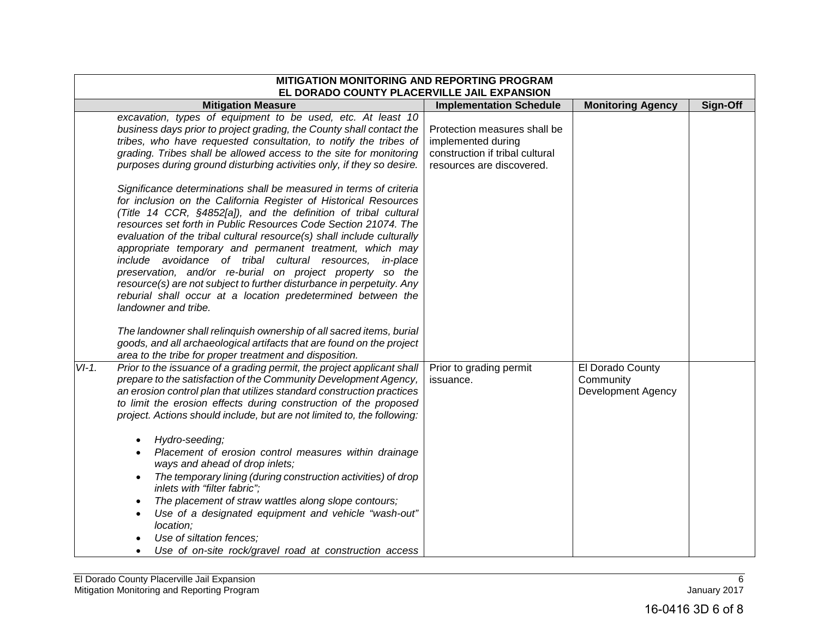|         | MITIGATION MONITORING AND REPORTING PROGRAM<br>EL DORADO COUNTY PLACERVILLE JAIL EXPANSION                                                                                                                                                                                                                                                                                                                                                                                                                                                                                                                                                                                                                                                                                                                                                                    |                                                                                                                    |                                                     |          |
|---------|---------------------------------------------------------------------------------------------------------------------------------------------------------------------------------------------------------------------------------------------------------------------------------------------------------------------------------------------------------------------------------------------------------------------------------------------------------------------------------------------------------------------------------------------------------------------------------------------------------------------------------------------------------------------------------------------------------------------------------------------------------------------------------------------------------------------------------------------------------------|--------------------------------------------------------------------------------------------------------------------|-----------------------------------------------------|----------|
|         | <b>Mitigation Measure</b>                                                                                                                                                                                                                                                                                                                                                                                                                                                                                                                                                                                                                                                                                                                                                                                                                                     | <b>Implementation Schedule</b>                                                                                     | <b>Monitoring Agency</b>                            | Sign-Off |
|         | excavation, types of equipment to be used, etc. At least 10<br>business days prior to project grading, the County shall contact the<br>tribes, who have requested consultation, to notify the tribes of<br>grading. Tribes shall be allowed access to the site for monitoring<br>purposes during ground disturbing activities only, if they so desire.                                                                                                                                                                                                                                                                                                                                                                                                                                                                                                        | Protection measures shall be<br>implemented during<br>construction if tribal cultural<br>resources are discovered. |                                                     |          |
|         | Significance determinations shall be measured in terms of criteria<br>for inclusion on the California Register of Historical Resources<br>(Title 14 CCR, §4852[a]), and the definition of tribal cultural<br>resources set forth in Public Resources Code Section 21074. The<br>evaluation of the tribal cultural resource(s) shall include culturally<br>appropriate temporary and permanent treatment, which may<br>include avoidance of tribal cultural resources, in-place<br>preservation, and/or re-burial on project property so the<br>resource(s) are not subject to further disturbance in perpetuity. Any<br>reburial shall occur at a location predetermined between the<br>landowner and tribe.<br>The landowner shall relinquish ownership of all sacred items, burial<br>goods, and all archaeological artifacts that are found on the project |                                                                                                                    |                                                     |          |
| $VI-1.$ | area to the tribe for proper treatment and disposition.<br>Prior to the issuance of a grading permit, the project applicant shall<br>prepare to the satisfaction of the Community Development Agency,<br>an erosion control plan that utilizes standard construction practices<br>to limit the erosion effects during construction of the proposed                                                                                                                                                                                                                                                                                                                                                                                                                                                                                                            | Prior to grading permit<br>issuance.                                                                               | El Dorado County<br>Community<br>Development Agency |          |
|         | project. Actions should include, but are not limited to, the following:<br>Hydro-seeding;<br>$\bullet$<br>Placement of erosion control measures within drainage<br>ways and ahead of drop inlets;<br>The temporary lining (during construction activities) of drop<br>inlets with "filter fabric";<br>The placement of straw wattles along slope contours;<br>Use of a designated equipment and vehicle "wash-out"<br>location;<br>Use of siltation fences:<br>Use of on-site rock/gravel road at construction access                                                                                                                                                                                                                                                                                                                                         |                                                                                                                    |                                                     |          |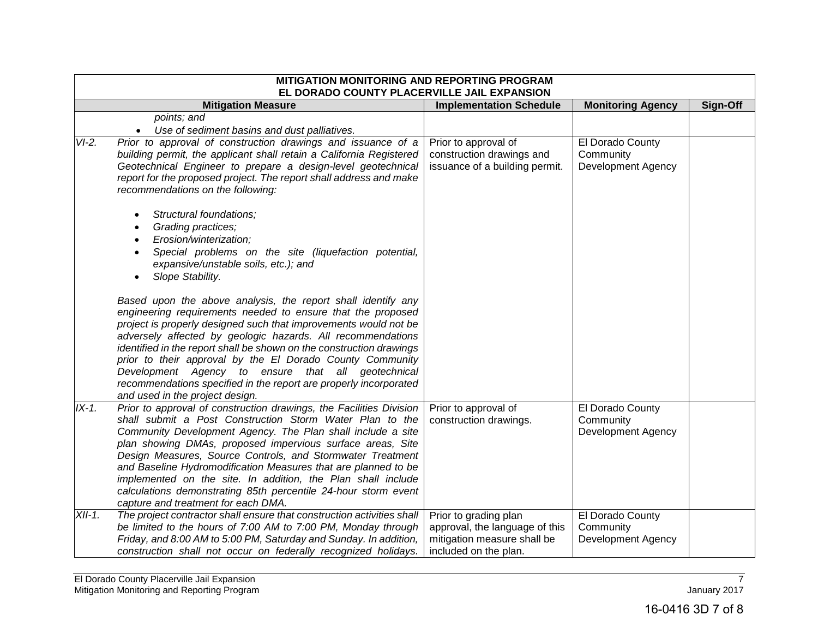|          | <b>MITIGATION MONITORING AND REPORTING PROGRAM</b><br>EL DORADO COUNTY PLACERVILLE JAIL EXPANSION                               |                                                |                               |          |
|----------|---------------------------------------------------------------------------------------------------------------------------------|------------------------------------------------|-------------------------------|----------|
|          | <b>Mitigation Measure</b>                                                                                                       | <b>Implementation Schedule</b>                 | <b>Monitoring Agency</b>      | Sign-Off |
|          | points; and                                                                                                                     |                                                |                               |          |
|          | Use of sediment basins and dust palliatives.                                                                                    |                                                |                               |          |
| $VI-2.$  | Prior to approval of construction drawings and issuance of a                                                                    | Prior to approval of                           | El Dorado County              |          |
|          | building permit, the applicant shall retain a California Registered                                                             | construction drawings and                      | Community                     |          |
|          | Geotechnical Engineer to prepare a design-level geotechnical                                                                    | issuance of a building permit.                 | <b>Development Agency</b>     |          |
|          | report for the proposed project. The report shall address and make                                                              |                                                |                               |          |
|          | recommendations on the following:                                                                                               |                                                |                               |          |
|          | Structural foundations;                                                                                                         |                                                |                               |          |
|          | Grading practices;<br>$\bullet$                                                                                                 |                                                |                               |          |
|          | Erosion/winterization;<br>$\bullet$                                                                                             |                                                |                               |          |
|          | Special problems on the site (liquefaction potential,<br>$\bullet$                                                              |                                                |                               |          |
|          | expansive/unstable soils, etc.); and                                                                                            |                                                |                               |          |
|          | Slope Stability.                                                                                                                |                                                |                               |          |
|          |                                                                                                                                 |                                                |                               |          |
|          | Based upon the above analysis, the report shall identify any                                                                    |                                                |                               |          |
|          | engineering requirements needed to ensure that the proposed                                                                     |                                                |                               |          |
|          | project is properly designed such that improvements would not be                                                                |                                                |                               |          |
|          | adversely affected by geologic hazards. All recommendations                                                                     |                                                |                               |          |
|          | identified in the report shall be shown on the construction drawings                                                            |                                                |                               |          |
|          | prior to their approval by the El Dorado County Community                                                                       |                                                |                               |          |
|          | Development Agency to ensure that all geotechnical                                                                              |                                                |                               |          |
|          | recommendations specified in the report are properly incorporated                                                               |                                                |                               |          |
| $IX-1.$  | and used in the project design.                                                                                                 |                                                |                               |          |
|          | Prior to approval of construction drawings, the Facilities Division<br>shall submit a Post Construction Storm Water Plan to the | Prior to approval of<br>construction drawings. | El Dorado County<br>Community |          |
|          | Community Development Agency. The Plan shall include a site                                                                     |                                                | <b>Development Agency</b>     |          |
|          | plan showing DMAs, proposed impervious surface areas, Site                                                                      |                                                |                               |          |
|          | Design Measures, Source Controls, and Stormwater Treatment                                                                      |                                                |                               |          |
|          | and Baseline Hydromodification Measures that are planned to be                                                                  |                                                |                               |          |
|          | implemented on the site. In addition, the Plan shall include                                                                    |                                                |                               |          |
|          | calculations demonstrating 85th percentile 24-hour storm event                                                                  |                                                |                               |          |
|          | capture and treatment for each DMA.                                                                                             |                                                |                               |          |
| $XII-1.$ | The project contractor shall ensure that construction activities shall                                                          | Prior to grading plan                          | El Dorado County              |          |
|          | be limited to the hours of 7:00 AM to 7:00 PM, Monday through                                                                   | approval, the language of this                 | Community                     |          |
|          | Friday, and 8:00 AM to 5:00 PM, Saturday and Sunday. In addition,                                                               | mitigation measure shall be                    | Development Agency            |          |
|          | construction shall not occur on federally recognized holidays.                                                                  | included on the plan.                          |                               |          |